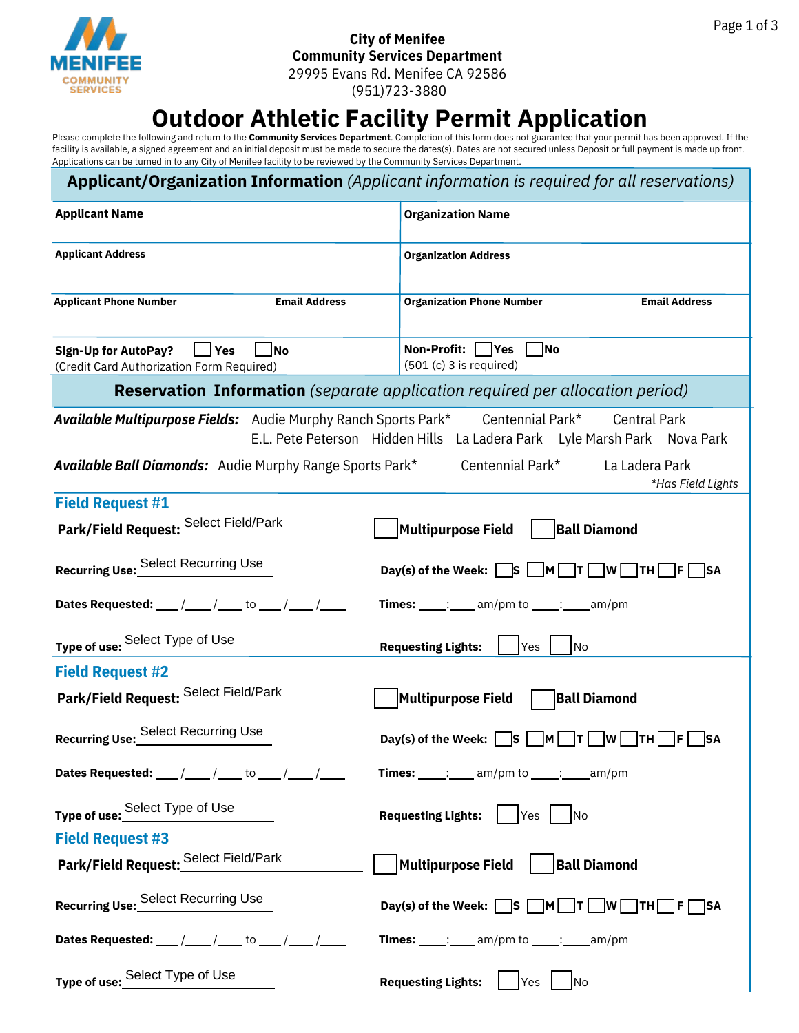

## **City of Menifee Community Services Department** 29995 Evans Rd. Menifee CA 92586

(951)723-3880

# **Outdoor Athletic Facility Permit Application**

Please complete the following and return to the **Community Services Department**. Completion of this form does not guarantee that your permit has been approved. If the facility is available, a signed agreement and an initial deposit must be made to secure the dates(s). Dates are not secured unless Deposit or full payment is made up front. Applications can be turned in to any City of Menifee facility to be reviewed by the Community Services Department.

| <b>Applicant/Organization Information</b> (Applicant information is required for all reservations)                                                 |                                                                                                                                       |  |  |  |
|----------------------------------------------------------------------------------------------------------------------------------------------------|---------------------------------------------------------------------------------------------------------------------------------------|--|--|--|
| <b>Applicant Name</b>                                                                                                                              | <b>Organization Name</b>                                                                                                              |  |  |  |
| <b>Applicant Address</b>                                                                                                                           | <b>Organization Address</b>                                                                                                           |  |  |  |
| <b>Applicant Phone Number</b><br><b>Email Address</b>                                                                                              | <b>Organization Phone Number</b><br><b>Email Address</b>                                                                              |  |  |  |
| <b>Sign-Up for AutoPay?</b><br>$\Box$ Yes<br> No<br>(Credit Card Authorization Form Required)                                                      | Non-Profit: Yes<br><b>No</b><br>$(501(c) 3$ is required)                                                                              |  |  |  |
|                                                                                                                                                    | <b>Reservation Information</b> (separate application required per allocation period)                                                  |  |  |  |
| Available Multipurpose Fields: Audie Murphy Ranch Sports Park* Centennial Park*<br><b>Available Ball Diamonds:</b> Audie Murphy Range Sports Park* | <b>Central Park</b><br>E.L. Pete Peterson Hidden Hills La Ladera Park Lyle Marsh Park Nova Park<br>Centennial Park*<br>La Ladera Park |  |  |  |
|                                                                                                                                                    | *Has Field Lights                                                                                                                     |  |  |  |
| <b>Field Request #1</b>                                                                                                                            |                                                                                                                                       |  |  |  |
| Park/Field Request: Select Field/Park                                                                                                              | Multipurpose Field<br><b>Ball Diamond</b>                                                                                             |  |  |  |
| Recurring Use: Select Recurring Use                                                                                                                | Day(s) of the Week: $\Box$ S $\Box$ M $\Box$ T $\Box$ W $\Box$ TH $\Box$ F $\Box$ SA                                                  |  |  |  |
| Dates Requested: ___ /____ /____ to ___ /____ /____                                                                                                | Times: $\frac{1}{\frac{1}{2}}$ am/pm to $\frac{1}{\frac{1}{2}}$ am/pm                                                                 |  |  |  |
| Type of use: Select Type of Use                                                                                                                    | <b>Requesting Lights:</b><br>Yes<br>No                                                                                                |  |  |  |
| <b>Field Request #2</b>                                                                                                                            |                                                                                                                                       |  |  |  |
| Park/Field Request: Select Field/Park                                                                                                              | Multipurpose Field<br><b>Ball Diamond</b>                                                                                             |  |  |  |
| Recurring Use: Select Recurring Use                                                                                                                | Day(s) of the Week: $\begin{array}{ c c } \hline \text{S} \end{array}$<br> M <br> W   TH   F <br>  T  <br><b>SA</b>                   |  |  |  |
| Dates Requested: $\frac{1}{\sqrt{2}}$ / ________ to ______ / ______ /                                                                              | <b>Times:</b> $\qquad \qquad \ldots$ am/pm to $\qquad \qquad \ldots$ am/pm                                                            |  |  |  |
| Type of use: Select Type of Use                                                                                                                    | <b>Requesting Lights:</b><br>Yes<br><b>No</b>                                                                                         |  |  |  |
| <b>Field Request #3</b>                                                                                                                            |                                                                                                                                       |  |  |  |
| Park/Field Request: Select Field/Park                                                                                                              | Multipurpose Field<br><b>Ball Diamond</b>                                                                                             |  |  |  |
| Recurring Use: Select Recurring Use                                                                                                                | Day(s) of the Week: $\Box$ S $\Box$ M $\Box$ T $\Box$ W $\Box$ TH $\Box$ F $\Box$ SA                                                  |  |  |  |
| Dates Requested: $\frac{1}{\sqrt{2}}$ / _______ to ______ / ______ /                                                                               | Times: $\frac{1}{\frac{1}{2} \cdot \frac{1}{2}}$ am/pm to $\frac{1}{\frac{1}{2} \cdot \frac{1}{2}}$ am/pm                             |  |  |  |
| Type of use: Select Type of Use                                                                                                                    | <b>Requesting Lights:</b><br>$ $ Yes $ $<br>N <sub>o</sub>                                                                            |  |  |  |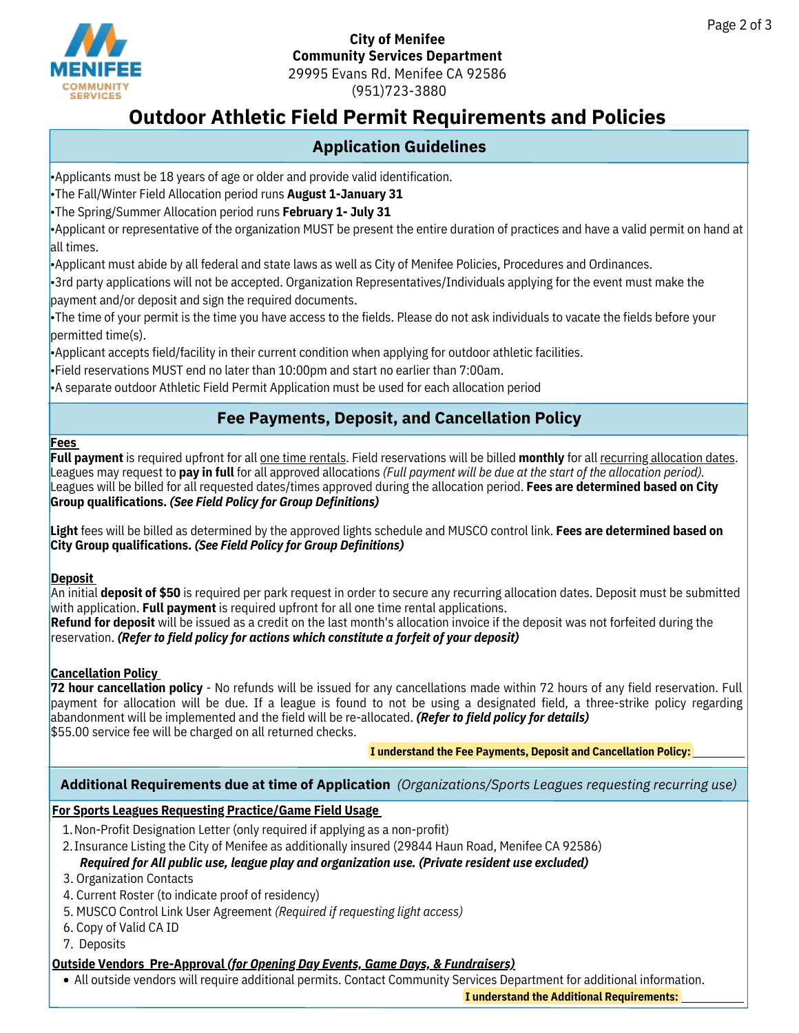

#### **City of Menifee Community Services Department** 29995 Evans Rd. Menifee CA 92586 (951)723-3880

# **Outdoor Athletic Field Permit Requirements and Policies**

## **Application Guidelines**

•Applicants must be 18 years of age or older and provide valid identification.

•The Fall/Winter Field Allocation period runs **August 1-January 31**

•The Spring/Summer Allocation period runs **February 1- July 31**

•Applicant or representative of the organization MUST be present the entire duration of practices and have a valid permit on hand at all times.

•Applicant must abide by all federal and state laws as well as City of Menifee Policies, Procedures and Ordinances.

•3rd party applications will not be accepted. Organization Representatives/Individuals applying for the event must make the payment and/or deposit and sign the required documents.

•The time of your permit is the time you have access to the fields. Please do not ask individuals to vacate the fields before your permitted time(s).

•Applicant accepts field/facility in their current condition when applying for outdoor athletic facilities.

•Field reservations MUST end no later than 10:00pm and start no earlier than 7:00am.

•A separate outdoor Athletic Field Permit Application must be used for each allocation period

## **Fee Payments, Deposit, and Cancellation Policy**

#### **Fees**

**Full payment** is required upfront for all one time rentals. Field reservations will be billed **monthly** for all recurring allocation dates. Leagues may request to **pay in full** for all approved allocations *(Full payment will be due at the start of the allocation period).* Leagues will be billed for all requested dates/times approved during the allocation period. **Fees are determined based on City Group qualifications.** *(See Field Policy for Group Definitions)*

**Light** fees will be billed as determined by the approved lights schedule and MUSCO control link. **Fees are determined based on City Group qualifications.** *(See Field Policy for Group Definitions)*

#### **Deposit**

An initial **deposit of \$50** is required per park request in order to secure any recurring allocation dates. Deposit must be submitted with application. **Full payment** is required upfront for all one time rental applications.

**Refund for deposit** will be issued as a credit on the last month's allocation invoice if the deposit was not forfeited during the reservation. *(Refer to field policy for actions which constitute a forfeit of your deposit)*

#### **Cancellation Policy**

**72 hour cancellation policy** - No refunds will be issued for any cancellations made within 72 hours of any field reservation. Full payment for allocation will be due. If a league is found to not be using a designated field, a three-strike policy regarding abandonment will be implemented and the field will be re-allocated. *(Refer to field policy for details)* \$55.00 service fee will be charged on all returned checks.

#### **I understand the Fee Payments, Deposit and Cancellation Policy:**

#### **Additional Requirements due at time of Application** *(Organizations/Sports Leagues requesting recurring use)*

#### **For Sports Leagues Requesting Practice/Game Field Usage**

- 
- 1. Non-Profit Designation Letter (only required if applying as a non-profit)<br>
2. Insurance Listing the City of Menifee as additionally insured (29844 Haun Kerelling the City of Menifee as additionally insured (29844 Haun K 2. Insurance Listing the City of Menifee as additionally insured (29844 Haun Road, Menifee CA 92586)

# *Required for All public use, league play and organization use. (Private resident use excluded)* 5. MUSCO Control Link User Agreement *(Required if requesting light access)*

- 
- 4. Current Roster (to indicate proof of residency) 3. Organization Contacts<br>4. Current Roster (to indicate<br>5. MUSCO Control Link User A<br>6. Copy of Valid CA ID<br>7. Deposits
- 
- 
- 7. Deposits

#### **Outside Vendors Pre-Approval** *(for Opening Day Events, Game Days, & Fundraisers)*

All outside vendors will require additional permits. Contact Community Services Department for additional information.

**I understand the Additional Requirements:**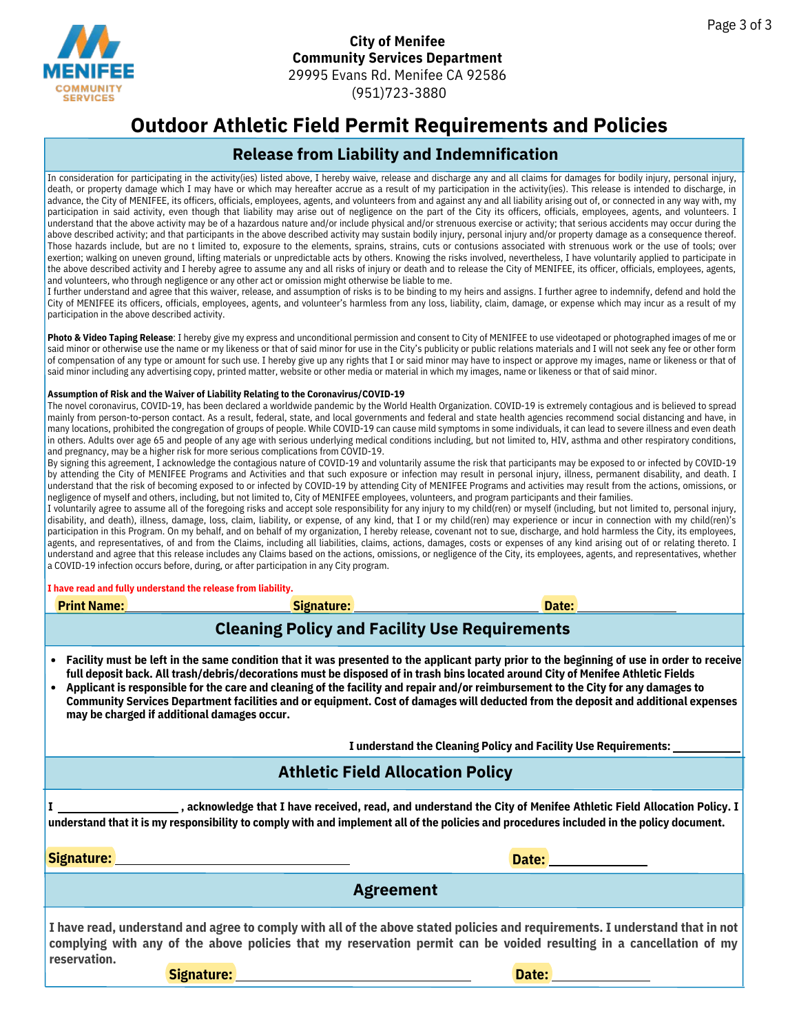

#### **City of Menifee Community Services Department** 29995 Evans Rd. Menifee CA 92586 (951)723-3880

# **Outdoor Athletic Field Permit Requirements and Policies**

### **Release from Liability and Indemnification**

In consideration for participating in the activity(ies) listed above, I hereby waive, release and discharge any and all claims for damages for bodily injury, personal injury, death, or property damage which I may have or which may hereafter accrue as a result of my participation in the activity(ies). This release is intended to discharge, in advance, the City of MENIFEE, its officers, officials, employees, agents, and volunteers from and against any and all liability arising out of, or connected in any way with, my participation in said activity, even though that liability may arise out of negligence on the part of the City its officers, officials, employees, agents, and volunteers. I understand that the above activity may be of a hazardous nature and/or include physical and/or strenuous exercise or activity; that serious accidents may occur during the above described activity; and that participants in the above described activity may sustain bodily injury, personal injury and/or property damage as a consequence thereof. Those hazards include, but are no t limited to, exposure to the elements, sprains, strains, cuts or contusions associated with strenuous work or the use of tools; over exertion; walking on uneven ground, lifting materials or unpredictable acts by others. Knowing the risks involved, nevertheless, I have voluntarily applied to participate in the above described activity and I hereby agree to assume any and all risks of injury or death and to release the City of MENIFEE, its officer, officials, employees, agents, and volunteers, who through negligence or any other act or omission might otherwise be liable to me.

I further understand and agree that this waiver, release, and assumption of risks is to be binding to my heirs and assigns. I further agree to indemnify, defend and hold the City of MENIFEE its officers, officials, employees, agents, and volunteer's harmless from any loss, liability, claim, damage, or expense which may incur as a result of my participation in the above described activity.

**Photo & Video Taping Release**: I hereby give my express and unconditional permission and consent to City of MENIFEE to use videotaped or photographed images of me or said minor or otherwise use the name or my likeness or that of said minor for use in the City's publicity or public relations materials and I will not seek any fee or other form of compensation of any type or amount for such use. I hereby give up any rights that I or said minor may have to inspect or approve my images, name or likeness or that of said minor including any advertising copy, printed matter, website or other media or material in which my images, name or likeness or that of said minor.

#### **Assumption of Risk and the Waiver of Liability Relating to the Coronavirus/COVID-19**

The novel coronavirus, COVID-19, has been declared a worldwide pandemic by the World Health Organization. COVID-19 is extremely contagious and is believed to spread mainly from person-to-person contact. As a result, federal, state, and local governments and federal and state health agencies recommend social distancing and have, in many locations, prohibited the congregation of groups of people. While COVID-19 can cause mild symptoms in some individuals, it can lead to severe illness and even death in others. Adults over age 65 and people of any age with serious underlying medical conditions including, but not limited to, HIV, asthma and other respiratory conditions, and pregnancy, may be a higher risk for more serious complications from COVID-19.

By signing this agreement, I acknowledge the contagious nature of COVID-19 and voluntarily assume the risk that participants may be exposed to or infected by COVID-19 by attending the City of MENIFEE Programs and Activities and that such exposure or infection may result in personal injury, illness, permanent disability, and death. I understand that the risk of becoming exposed to or infected by COVID-19 by attending City of MENIFEE Programs and activities may result from the actions, omissions, or negligence of myself and others, including, but not limited to, City of MENIFEE employees, volunteers, and program participants and their families.

I voluntarily agree to assume all of the foregoing risks and accept sole responsibility for any injury to my child(ren) or myself (including, but not limited to, personal injury, disability, and death), illness, damage, loss, claim, liability, or expense, of any kind, that I or my child(ren) may experience or incur in connection with my child(ren)'s participation in this Program. On my behalf, and on behalf of my organization, I hereby release, covenant not to sue, discharge, and hold harmless the City, its employees, agents, and representatives, of and from the Claims, including all liabilities, claims, actions, damages, costs or expenses of any kind arising out of or relating thereto. I understand and agree that this release includes any Claims based on the actions, omissions, or negligence of the City, its employees, agents, and representatives, whether a COVID-19 infection occurs before, during, or after participation in any City program.

#### **I have read and fully understand the release from liability.**

| I have read and fully understand the release from liability.                                                                                                                                                                                                                                                                                                                                                                                                                                                                                                                                                         |                                                                             |                                       |  |  |
|----------------------------------------------------------------------------------------------------------------------------------------------------------------------------------------------------------------------------------------------------------------------------------------------------------------------------------------------------------------------------------------------------------------------------------------------------------------------------------------------------------------------------------------------------------------------------------------------------------------------|-----------------------------------------------------------------------------|---------------------------------------|--|--|
| <b>Print Name:</b>                                                                                                                                                                                                                                                                                                                                                                                                                                                                                                                                                                                                   | <u>Signature: Engineering Signature: Engineering Signature: Engineering</u> | Date: <b>Exercise Service Service</b> |  |  |
| <b>Cleaning Policy and Facility Use Requirements</b>                                                                                                                                                                                                                                                                                                                                                                                                                                                                                                                                                                 |                                                                             |                                       |  |  |
| Facility must be left in the same condition that it was presented to the applicant party prior to the beginning of use in order to receive<br>full deposit back. All trash/debris/decorations must be disposed of in trash bins located around City of Menifee Athletic Fields<br>Applicant is responsible for the care and cleaning of the facility and repair and/or reimbursement to the City for any damages to<br>$\bullet$<br>Community Services Department facilities and or equipment. Cost of damages will deducted from the deposit and additional expenses<br>may be charged if additional damages occur. |                                                                             |                                       |  |  |
| I understand the Cleaning Policy and Facility Use Requirements:                                                                                                                                                                                                                                                                                                                                                                                                                                                                                                                                                      |                                                                             |                                       |  |  |
| <b>Athletic Field Allocation Policy</b>                                                                                                                                                                                                                                                                                                                                                                                                                                                                                                                                                                              |                                                                             |                                       |  |  |
| , acknowledge that I have received, read, and understand the City of Menifee Athletic Field Allocation Policy. I<br>understand that it is my responsibility to comply with and implement all of the policies and procedures included in the policy document.                                                                                                                                                                                                                                                                                                                                                         |                                                                             |                                       |  |  |
| Signature:                                                                                                                                                                                                                                                                                                                                                                                                                                                                                                                                                                                                           |                                                                             | Date: <u>Date:</u>                    |  |  |
| <b>Agreement</b>                                                                                                                                                                                                                                                                                                                                                                                                                                                                                                                                                                                                     |                                                                             |                                       |  |  |
| I have read, understand and agree to comply with all of the above stated policies and requirements. I understand that in not<br>complying with any of the above policies that my reservation permit can be voided resulting in a cancellation of my<br>reservation.                                                                                                                                                                                                                                                                                                                                                  |                                                                             |                                       |  |  |

**Signature:**

**Date:**